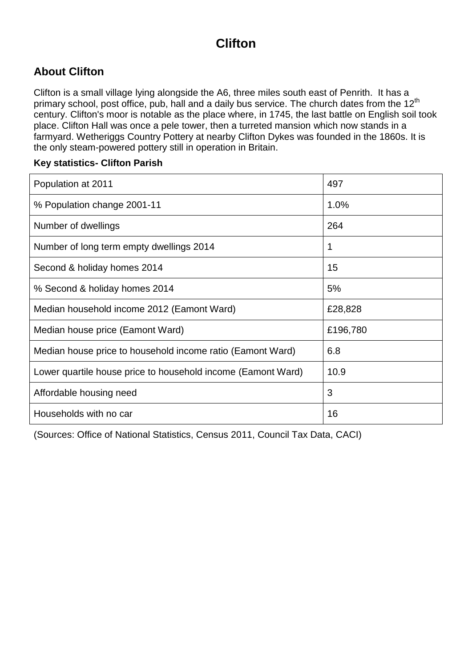# **Clifton**

## **About Clifton**

Clifton is a small village lying alongside the A6, three miles south east of Penrith. It has a primary school, post office, pub, hall and a daily bus service. The church dates from the 12<sup>th</sup> century. Clifton's moor is notable as the place where, in 1745, the last battle on English soil took place. Clifton Hall was once a pele tower, then a turreted mansion which now stands in a farmyard. Wetheriggs Country Pottery at nearby Clifton Dykes was founded in the 1860s. It is the only steam-powered pottery still in operation in Britain.

#### **Key statistics- Clifton Parish**

| Population at 2011                                           | 497      |
|--------------------------------------------------------------|----------|
| % Population change 2001-11                                  | 1.0%     |
| Number of dwellings                                          | 264      |
| Number of long term empty dwellings 2014                     | 1        |
| Second & holiday homes 2014                                  | 15       |
| % Second & holiday homes 2014                                | 5%       |
| Median household income 2012 (Eamont Ward)                   | £28,828  |
| Median house price (Eamont Ward)                             | £196,780 |
| Median house price to household income ratio (Eamont Ward)   | 6.8      |
| Lower quartile house price to household income (Eamont Ward) | 10.9     |
| Affordable housing need                                      | 3        |
| Households with no car                                       | 16       |

(Sources: Office of National Statistics, Census 2011, Council Tax Data, CACI)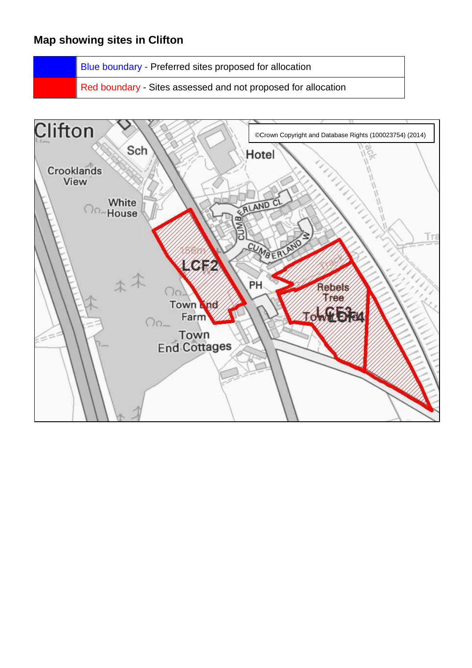## **Map showing sites in Clifton**

Blue boundary - Preferred sites proposed for allocation

Red boundary - Sites assessed and not proposed for allocation

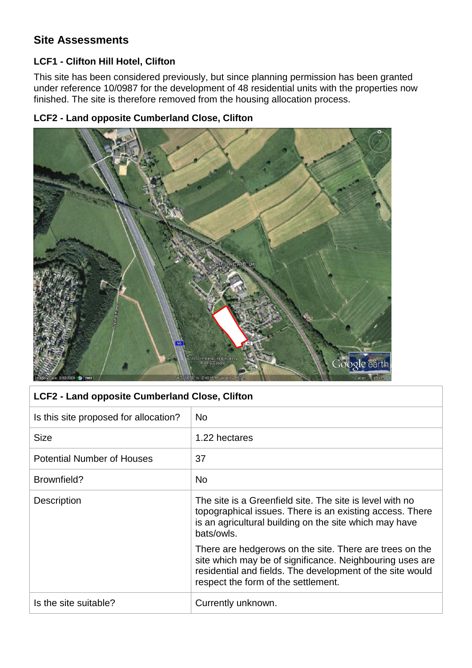## **Site Assessments**

#### **LCF1 - Clifton Hill Hotel, Clifton**

This site has been considered previously, but since planning permission has been granted under reference 10/0987 for the development of 48 residential units with the properties now finished. The site is therefore removed from the housing allocation process.

### **LCF2 - Land opposite Cumberland Close, Clifton**



| LCF2 - Land opposite Cumberland Close, Clifton |                                                                                                                                                                                                                         |
|------------------------------------------------|-------------------------------------------------------------------------------------------------------------------------------------------------------------------------------------------------------------------------|
| Is this site proposed for allocation?          | <b>No</b>                                                                                                                                                                                                               |
| <b>Size</b>                                    | 1.22 hectares                                                                                                                                                                                                           |
| <b>Potential Number of Houses</b>              | 37                                                                                                                                                                                                                      |
| Brownfield?                                    | No                                                                                                                                                                                                                      |
| <b>Description</b>                             | The site is a Greenfield site. The site is level with no<br>topographical issues. There is an existing access. There<br>is an agricultural building on the site which may have<br>bats/owls.                            |
|                                                | There are hedgerows on the site. There are trees on the<br>site which may be of significance. Neighbouring uses are<br>residential and fields. The development of the site would<br>respect the form of the settlement. |
| Is the site suitable?                          | Currently unknown.                                                                                                                                                                                                      |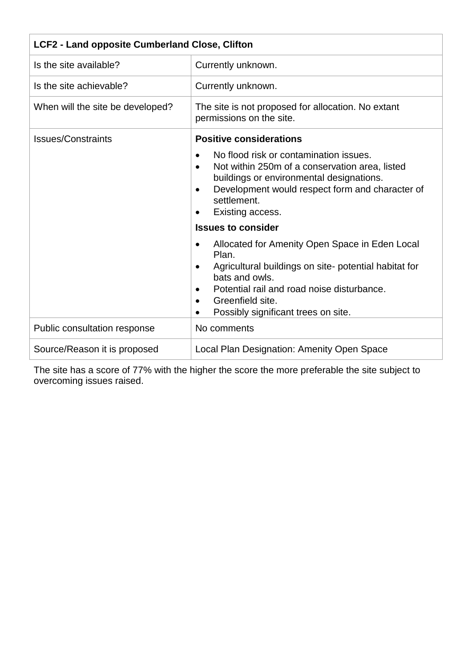| <b>LCF2 - Land opposite Cumberland Close, Clifton</b> |                                                                                                                                                                                                                                                                                         |
|-------------------------------------------------------|-----------------------------------------------------------------------------------------------------------------------------------------------------------------------------------------------------------------------------------------------------------------------------------------|
| Is the site available?                                | Currently unknown.                                                                                                                                                                                                                                                                      |
| Is the site achievable?                               | Currently unknown.                                                                                                                                                                                                                                                                      |
| When will the site be developed?                      | The site is not proposed for allocation. No extant<br>permissions on the site.                                                                                                                                                                                                          |
| <b>Issues/Constraints</b>                             | <b>Positive considerations</b>                                                                                                                                                                                                                                                          |
|                                                       | No flood risk or contamination issues.<br>Not within 250m of a conservation area, listed<br>$\bullet$<br>buildings or environmental designations.<br>Development would respect form and character of<br>٠<br>settlement.<br>Existing access.<br><b>Issues to consider</b>               |
|                                                       | Allocated for Amenity Open Space in Eden Local<br>$\bullet$<br>Plan.<br>Agricultural buildings on site- potential habitat for<br>٠<br>bats and owls.<br>Potential rail and road noise disturbance.<br>Greenfield site.<br>$\bullet$<br>Possibly significant trees on site.<br>$\bullet$ |
| Public consultation response                          | No comments                                                                                                                                                                                                                                                                             |
| Source/Reason it is proposed                          | Local Plan Designation: Amenity Open Space                                                                                                                                                                                                                                              |

The site has a score of 77% with the higher the score the more preferable the site subject to overcoming issues raised.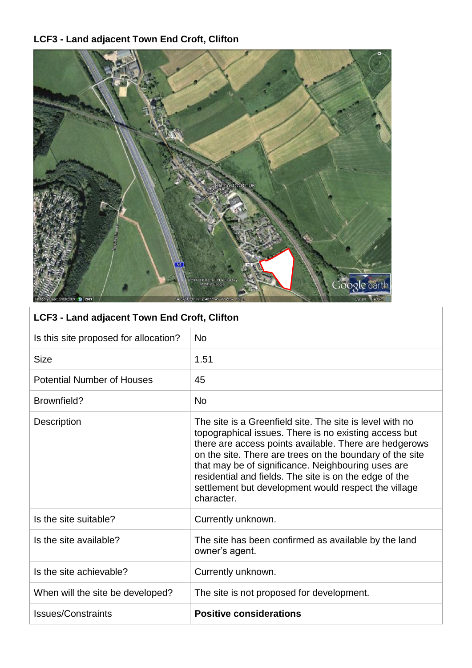# **LCF3 - Land adjacent Town End Croft, Clifton**



| LCF3 - Land adjacent Town End Croft, Clifton |                                                                                                                                                                                                                                                                                                                                                                                                                               |  |
|----------------------------------------------|-------------------------------------------------------------------------------------------------------------------------------------------------------------------------------------------------------------------------------------------------------------------------------------------------------------------------------------------------------------------------------------------------------------------------------|--|
| Is this site proposed for allocation?        | <b>No</b>                                                                                                                                                                                                                                                                                                                                                                                                                     |  |
| <b>Size</b>                                  | 1.51                                                                                                                                                                                                                                                                                                                                                                                                                          |  |
| <b>Potential Number of Houses</b>            | 45                                                                                                                                                                                                                                                                                                                                                                                                                            |  |
| Brownfield?                                  | <b>No</b>                                                                                                                                                                                                                                                                                                                                                                                                                     |  |
| Description                                  | The site is a Greenfield site. The site is level with no<br>topographical issues. There is no existing access but<br>there are access points available. There are hedgerows<br>on the site. There are trees on the boundary of the site<br>that may be of significance. Neighbouring uses are<br>residential and fields. The site is on the edge of the<br>settlement but development would respect the village<br>character. |  |
| Is the site suitable?                        | Currently unknown.                                                                                                                                                                                                                                                                                                                                                                                                            |  |
| Is the site available?                       | The site has been confirmed as available by the land<br>owner's agent.                                                                                                                                                                                                                                                                                                                                                        |  |
| Is the site achievable?                      | Currently unknown.                                                                                                                                                                                                                                                                                                                                                                                                            |  |
| When will the site be developed?             | The site is not proposed for development.                                                                                                                                                                                                                                                                                                                                                                                     |  |
| <b>Issues/Constraints</b>                    | <b>Positive considerations</b>                                                                                                                                                                                                                                                                                                                                                                                                |  |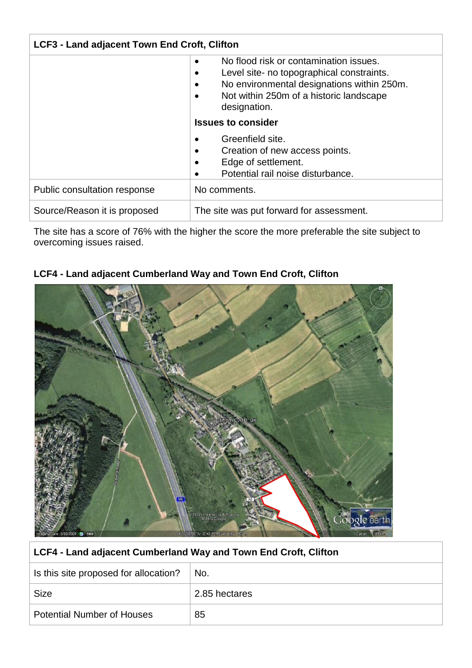| <b>LCF3 - Land adjacent Town End Croft, Clifton</b> |                                                                                                                                                                                                                        |
|-----------------------------------------------------|------------------------------------------------------------------------------------------------------------------------------------------------------------------------------------------------------------------------|
|                                                     | No flood risk or contamination issues.<br>$\bullet$<br>Level site- no topographical constraints.<br>No environmental designations within 250m.<br>$\bullet$<br>Not within 250m of a historic landscape<br>designation. |
|                                                     | <b>Issues to consider</b>                                                                                                                                                                                              |
|                                                     | Greenfield site.<br>Creation of new access points.<br>٠<br>Edge of settlement.<br>Potential rail noise disturbance.<br>$\bullet$                                                                                       |
| Public consultation response                        | No comments.                                                                                                                                                                                                           |
| Source/Reason it is proposed                        | The site was put forward for assessment.                                                                                                                                                                               |

The site has a score of 76% with the higher the score the more preferable the site subject to overcoming issues raised.

### **LCF4 - Land adjacent Cumberland Way and Town End Croft, Clifton**



#### **LCF4 - Land adjacent Cumberland Way and Town End Croft, Clifton**

| Is this site proposed for allocation? | No.           |
|---------------------------------------|---------------|
| Size                                  | 2.85 hectares |
| <b>Potential Number of Houses</b>     | 85            |